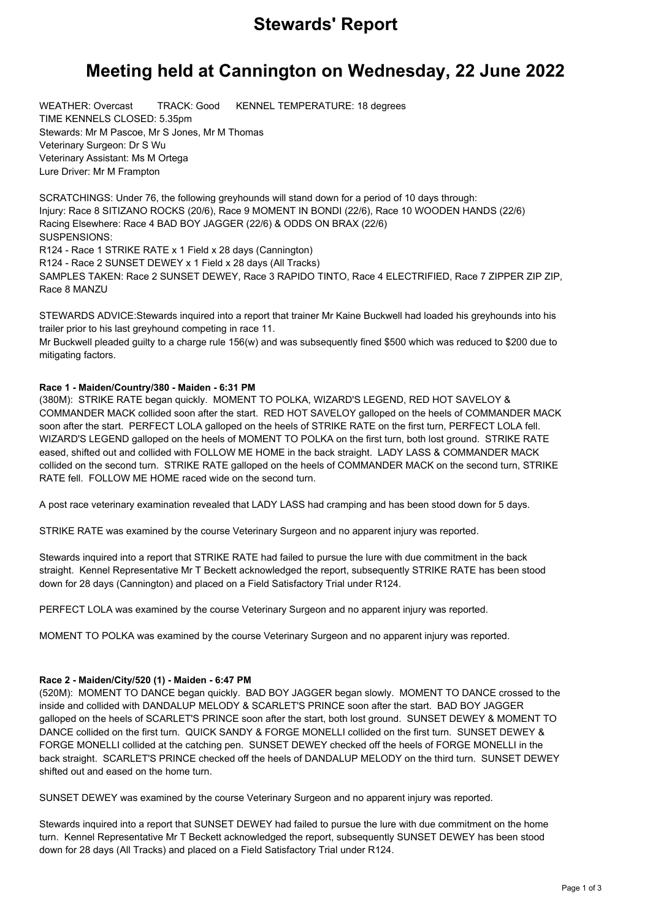# **Stewards' Report**

# **Meeting held at Cannington on Wednesday, 22 June 2022**

WEATHER: Overcast TRACK: Good KENNEL TEMPERATURE: 18 degrees TIME KENNELS CLOSED: 5.35pm Stewards: Mr M Pascoe, Mr S Jones, Mr M Thomas Veterinary Surgeon: Dr S Wu Veterinary Assistant: Ms M Ortega Lure Driver: Mr M Frampton

SCRATCHINGS: Under 76, the following greyhounds will stand down for a period of 10 days through: Injury: Race 8 SITIZANO ROCKS (20/6), Race 9 MOMENT IN BONDI (22/6), Race 10 WOODEN HANDS (22/6) Racing Elsewhere: Race 4 BAD BOY JAGGER (22/6) & ODDS ON BRAX (22/6) SUSPENSIONS: R124 - Race 1 STRIKE RATE x 1 Field x 28 days (Cannington) R124 - Race 2 SUNSET DEWEY x 1 Field x 28 days (All Tracks) SAMPLES TAKEN: Race 2 SUNSET DEWEY, Race 3 RAPIDO TINTO, Race 4 ELECTRIFIED, Race 7 ZIPPER ZIP ZIP,

Race 8 MANZU

STEWARDS ADVICE:Stewards inquired into a report that trainer Mr Kaine Buckwell had loaded his greyhounds into his trailer prior to his last greyhound competing in race 11.

Mr Buckwell pleaded guilty to a charge rule 156(w) and was subsequently fined \$500 which was reduced to \$200 due to mitigating factors.

## **Race 1 - Maiden/Country/380 - Maiden - 6:31 PM**

(380M): STRIKE RATE began quickly. MOMENT TO POLKA, WIZARD'S LEGEND, RED HOT SAVELOY & COMMANDER MACK collided soon after the start. RED HOT SAVELOY galloped on the heels of COMMANDER MACK soon after the start. PERFECT LOLA galloped on the heels of STRIKE RATE on the first turn, PERFECT LOLA fell. WIZARD'S LEGEND galloped on the heels of MOMENT TO POLKA on the first turn, both lost ground. STRIKE RATE eased, shifted out and collided with FOLLOW ME HOME in the back straight. LADY LASS & COMMANDER MACK collided on the second turn. STRIKE RATE galloped on the heels of COMMANDER MACK on the second turn, STRIKE RATE fell. FOLLOW ME HOME raced wide on the second turn.

A post race veterinary examination revealed that LADY LASS had cramping and has been stood down for 5 days.

STRIKE RATE was examined by the course Veterinary Surgeon and no apparent injury was reported.

Stewards inquired into a report that STRIKE RATE had failed to pursue the lure with due commitment in the back straight. Kennel Representative Mr T Beckett acknowledged the report, subsequently STRIKE RATE has been stood down for 28 days (Cannington) and placed on a Field Satisfactory Trial under R124.

PERFECT LOLA was examined by the course Veterinary Surgeon and no apparent injury was reported.

MOMENT TO POLKA was examined by the course Veterinary Surgeon and no apparent injury was reported.

#### **Race 2 - Maiden/City/520 (1) - Maiden - 6:47 PM**

(520M): MOMENT TO DANCE began quickly. BAD BOY JAGGER began slowly. MOMENT TO DANCE crossed to the inside and collided with DANDALUP MELODY & SCARLET'S PRINCE soon after the start. BAD BOY JAGGER galloped on the heels of SCARLET'S PRINCE soon after the start, both lost ground. SUNSET DEWEY & MOMENT TO DANCE collided on the first turn. QUICK SANDY & FORGE MONELLI collided on the first turn. SUNSET DEWEY & FORGE MONELLI collided at the catching pen. SUNSET DEWEY checked off the heels of FORGE MONELLI in the back straight. SCARLET'S PRINCE checked off the heels of DANDALUP MELODY on the third turn. SUNSET DEWEY shifted out and eased on the home turn.

SUNSET DEWEY was examined by the course Veterinary Surgeon and no apparent injury was reported.

Stewards inquired into a report that SUNSET DEWEY had failed to pursue the lure with due commitment on the home turn. Kennel Representative Mr T Beckett acknowledged the report, subsequently SUNSET DEWEY has been stood down for 28 days (All Tracks) and placed on a Field Satisfactory Trial under R124.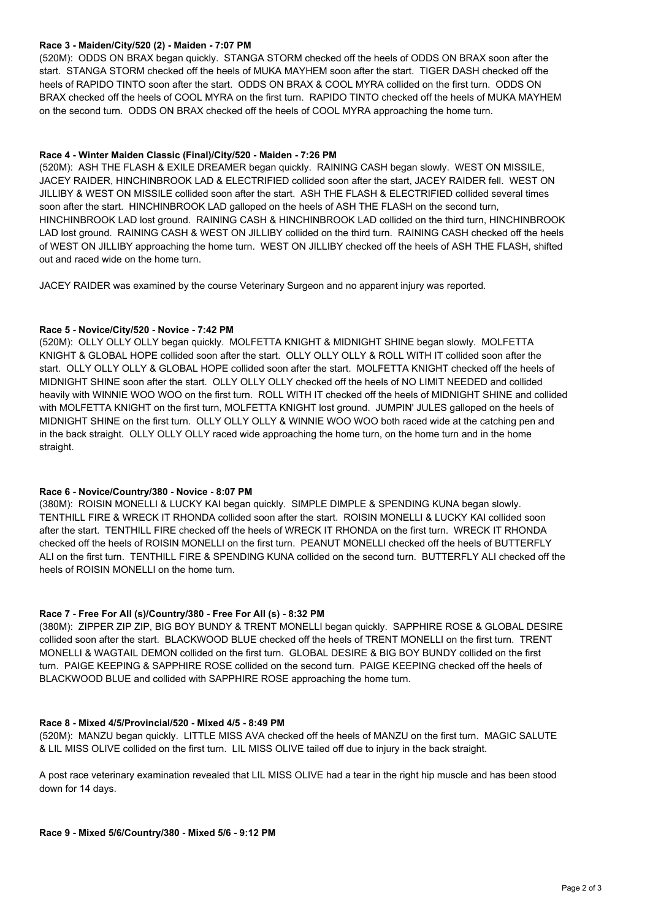### **Race 3 - Maiden/City/520 (2) - Maiden - 7:07 PM**

(520M): ODDS ON BRAX began quickly. STANGA STORM checked off the heels of ODDS ON BRAX soon after the start. STANGA STORM checked off the heels of MUKA MAYHEM soon after the start. TIGER DASH checked off the heels of RAPIDO TINTO soon after the start. ODDS ON BRAX & COOL MYRA collided on the first turn. ODDS ON BRAX checked off the heels of COOL MYRA on the first turn. RAPIDO TINTO checked off the heels of MUKA MAYHEM on the second turn. ODDS ON BRAX checked off the heels of COOL MYRA approaching the home turn.

### **Race 4 - Winter Maiden Classic (Final)/City/520 - Maiden - 7:26 PM**

(520M): ASH THE FLASH & EXILE DREAMER began quickly. RAINING CASH began slowly. WEST ON MISSILE, JACEY RAIDER, HINCHINBROOK LAD & ELECTRIFIED collided soon after the start, JACEY RAIDER fell. WEST ON JILLIBY & WEST ON MISSILE collided soon after the start. ASH THE FLASH & ELECTRIFIED collided several times soon after the start. HINCHINBROOK LAD galloped on the heels of ASH THE FLASH on the second turn, HINCHINBROOK LAD lost ground. RAINING CASH & HINCHINBROOK LAD collided on the third turn, HINCHINBROOK LAD lost ground. RAINING CASH & WEST ON JILLIBY collided on the third turn. RAINING CASH checked off the heels of WEST ON JILLIBY approaching the home turn. WEST ON JILLIBY checked off the heels of ASH THE FLASH, shifted out and raced wide on the home turn.

JACEY RAIDER was examined by the course Veterinary Surgeon and no apparent injury was reported.

### **Race 5 - Novice/City/520 - Novice - 7:42 PM**

(520M): OLLY OLLY OLLY began quickly. MOLFETTA KNIGHT & MIDNIGHT SHINE began slowly. MOLFETTA KNIGHT & GLOBAL HOPE collided soon after the start. OLLY OLLY OLLY & ROLL WITH IT collided soon after the start. OLLY OLLY OLLY & GLOBAL HOPE collided soon after the start. MOLFETTA KNIGHT checked off the heels of MIDNIGHT SHINE soon after the start. OLLY OLLY OLLY checked off the heels of NO LIMIT NEEDED and collided heavily with WINNIE WOO WOO on the first turn. ROLL WITH IT checked off the heels of MIDNIGHT SHINE and collided with MOLFETTA KNIGHT on the first turn, MOLFETTA KNIGHT lost ground. JUMPIN' JULES galloped on the heels of MIDNIGHT SHINE on the first turn. OLLY OLLY OLLY & WINNIE WOO WOO both raced wide at the catching pen and in the back straight. OLLY OLLY OLLY raced wide approaching the home turn, on the home turn and in the home straight.

#### **Race 6 - Novice/Country/380 - Novice - 8:07 PM**

(380M): ROISIN MONELLI & LUCKY KAI began quickly. SIMPLE DIMPLE & SPENDING KUNA began slowly. TENTHILL FIRE & WRECK IT RHONDA collided soon after the start. ROISIN MONELLI & LUCKY KAI collided soon after the start. TENTHILL FIRE checked off the heels of WRECK IT RHONDA on the first turn. WRECK IT RHONDA checked off the heels of ROISIN MONELLI on the first turn. PEANUT MONELLI checked off the heels of BUTTERFLY ALI on the first turn. TENTHILL FIRE & SPENDING KUNA collided on the second turn. BUTTERFLY ALI checked off the heels of ROISIN MONELLI on the home turn.

## **Race 7 - Free For All (s)/Country/380 - Free For All (s) - 8:32 PM**

(380M): ZIPPER ZIP ZIP, BIG BOY BUNDY & TRENT MONELLI began quickly. SAPPHIRE ROSE & GLOBAL DESIRE collided soon after the start. BLACKWOOD BLUE checked off the heels of TRENT MONELLI on the first turn. TRENT MONELLI & WAGTAIL DEMON collided on the first turn. GLOBAL DESIRE & BIG BOY BUNDY collided on the first turn. PAIGE KEEPING & SAPPHIRE ROSE collided on the second turn. PAIGE KEEPING checked off the heels of BLACKWOOD BLUE and collided with SAPPHIRE ROSE approaching the home turn.

## **Race 8 - Mixed 4/5/Provincial/520 - Mixed 4/5 - 8:49 PM**

(520M): MANZU began quickly. LITTLE MISS AVA checked off the heels of MANZU on the first turn. MAGIC SALUTE & LIL MISS OLIVE collided on the first turn. LIL MISS OLIVE tailed off due to injury in the back straight.

A post race veterinary examination revealed that LIL MISS OLIVE had a tear in the right hip muscle and has been stood down for 14 days.